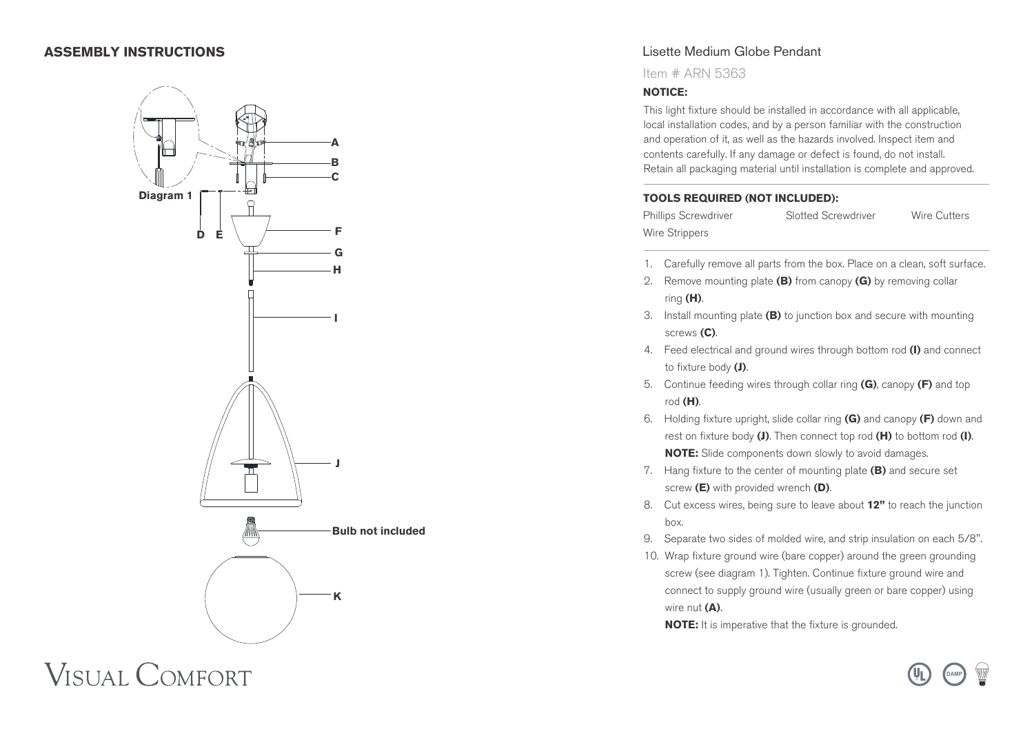# **ASSEMBLY INSTRUCTIONS**



Lisette Medium Globe Pendant

Item # ARN 5363

#### **NOTICE:**

This light fixture should be installed in accordance with all applicable, local installation codes, and by a person familiar with the construction and operation of it, as well as the hazards involved. Inspect item and contents carefully. If any damage or defect is found, do not install. Retain all packaging material until installation is complete and approved.

#### **TOOLS REQUIRED (NOT INCLUDED):**

Phillips Screwdriver Slotted Screwdriver Wire Cutters Wire Strippers

- 1. Carefully remove all parts from the box. Place on a clean, soft surface.
- 2. Remove mounting plate **(B)** from canopy **(G)** by removing collar ring **(H)**.
- 3. Install mounting plate **(B)** to junction box and secure with mounting screws **(C)**.
- 4. Feed electrical and ground wires through bottom rod **(I)** and connect to fixture body **(J)**.
- 5. Continue feeding wires through collar ring **(G)**, canopy **(F)** and top rod **(H)**.
- 6. Holding fixture upright, slide collar ring **(G)** and canopy **(F)** down and rest on fixture body **(J)**. Then connect top rod **(H)** to bottom rod **(I)**. **NOTE:** Slide components down slowly to avoid damages.
- 7. Hang fixture to the center of mounting plate **(B)** and secure set screw **(E)** with provided wrench **(D)**.
- 8. Cut excess wires, being sure to leave about **12"** to reach the junction box.
- 9. Separate two sides of molded wire, and strip insulation on each 5/8".
- 10. Wrap fixture ground wire (bare copper) around the green grounding screw (see diagram 1). Tighten. Continue fixture ground wire and connect to supply ground wire (usually green or bare copper) using wire nut **(A)**.

**DAMP**

**NOTE:** It is imperative that the fixture is grounded.

**VISUAL COMFORT**